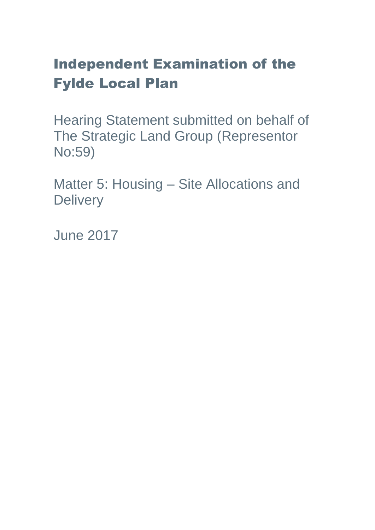# Independent Examination of the Fylde Local Plan

Hearing Statement submitted on behalf of The Strategic Land Group (Representor No:59)

Matter 5: Housing – Site Allocations and **Delivery** 

June 2017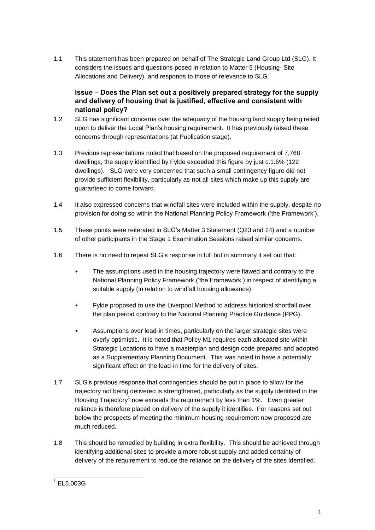1.1 This statement has been prepared on behalf of The Strategic Land Group Ltd (SLG). It considers the issues and questions posed in relation to Matter 5 (Housing- Site Allocations and Delivery), and responds to those of relevance to SLG.

# **Issue – Does the Plan set out a positively prepared strategy for the supply and delivery of housing that is justified, effective and consistent with national policy?**

- 1.2 SLG has significant concerns over the adequacy of the housing land supply being relied upon to deliver the Local Plan's housing requirement. It has previously raised these concerns through representations (at Publication stage).
- 1.3 Previous representations noted that based on the proposed requirement of 7,768 dwellings, the supply identified by Fylde exceeded this figure by just c.1.6% (122 dwellings). SLG were very concerned that such a small contingency figure did not provide sufficient flexibility, particularly as not all sites which make up this supply are guaranteed to come forward.
- 1.4 It also expressed concerns that windfall sites were included within the supply, despite no provision for doing so within the National Planning Policy Framework ('the Framework').
- 1.5 These points were reiterated in SLG's Matter 3 Statement (Q23 and 24) and a number of other participants in the Stage 1 Examination Sessions raised similar concerns.
- 1.6 There is no need to repeat SLG's response in full but in summary it set out that:
	- The assumptions used in the housing trajectory were flawed and contrary to the National Planning Policy Framework ('the Framework') in respect of identifying a suitable supply (in relation to windfall housing allowance).
	- Fylde proposed to use the Liverpool Method to address historical shortfall over the plan period contrary to the National Planning Practice Guidance (PPG).
	- Assumptions over lead-in times, particularly on the larger strategic sites were overly optimistic. It is noted that Policy M1 requires each allocated site within Strategic Locations to have a masterplan and design code prepared and adopted as a Supplementary Planning Document. This was noted to have a potentially significant effect on the lead-in time for the delivery of sites.
- 1.7 SLG's previous response that contingencies should be put in place to allow for the trajectory not being delivered is strengthened, particularly as the supply identified in the Housing Trajectory<sup>1</sup> now exceeds the requirement by less than 1%. Even greater reliance is therefore placed on delivery of the supply it identifies. For reasons set out below the prospects of meeting the minimum housing requirement now proposed are much reduced.
- 1.8 This should be remedied by building in extra flexibility. This should be achieved through identifying additional sites to provide a more robust supply and added certainty of delivery of the requirement to reduce the reliance on the delivery of the sites identified.

 1 EL5.003G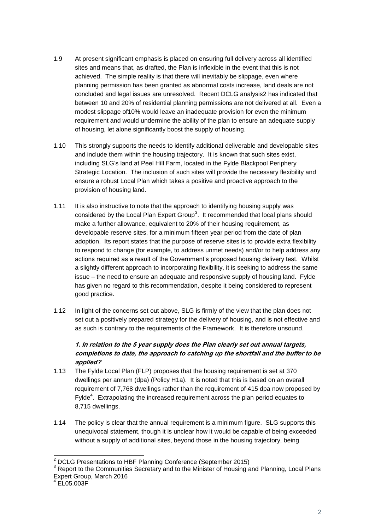- 1.9 At present significant emphasis is placed on ensuring full delivery across all identified sites and means that, as drafted, the Plan is inflexible in the event that this is not achieved. The simple reality is that there will inevitably be slippage, even where planning permission has been granted as abnormal costs increase, land deals are not concluded and legal issues are unresolved. Recent DCLG analysis2 has indicated that between 10 and 20% of residential planning permissions are not delivered at all. Even a modest slippage of10% would leave an inadequate provision for even the minimum requirement and would undermine the ability of the plan to ensure an adequate supply of housing, let alone significantly boost the supply of housing.
- 1.10 This strongly supports the needs to identify additional deliverable and developable sites and include them within the housing trajectory. It is known that such sites exist, including SLG's land at Peel Hill Farm, located in the Fylde Blackpool Periphery Strategic Location. The inclusion of such sites will provide the necessary flexibility and ensure a robust Local Plan which takes a positive and proactive approach to the provision of housing land.
- 1.11 It is also instructive to note that the approach to identifying housing supply was considered by the Local Plan Expert Group<sup>3</sup>. It recommended that local plans should make a further allowance, equivalent to 20% of their housing requirement, as developable reserve sites, for a minimum fifteen year period from the date of plan adoption. Its report states that the purpose of reserve sites is to provide extra flexibility to respond to change (for example, to address unmet needs) and/or to help address any actions required as a result of the Government's proposed housing delivery test. Whilst a slightly different approach to incorporating flexibility, it is seeking to address the same issue – the need to ensure an adequate and responsive supply of housing land. Fylde has given no regard to this recommendation, despite it being considered to represent good practice.
- 1.12 In light of the concerns set out above, SLG is firmly of the view that the plan does not set out a positively prepared strategy for the delivery of housing, and is not effective and as such is contrary to the requirements of the Framework. It is therefore unsound.

## **1. In relation to the 5 year supply does the Plan clearly set out annual targets, completions to date, the approach to catching up the shortfall and the buffer to be applied?**

- 1.13 The Fylde Local Plan (FLP) proposes that the housing requirement is set at 370 dwellings per annum (dpa) (Policy H1a). It is noted that this is based on an overall requirement of 7,768 dwellings rather than the requirement of 415 dpa now proposed by Fylde<sup>4</sup>. Extrapolating the increased requirement across the plan period equates to 8,715 dwellings.
- 1.14 The policy is clear that the annual requirement is a minimum figure. SLG supports this unequivocal statement, though it is unclear how it would be capable of being exceeded without a supply of additional sites, beyond those in the housing trajectory, being

 $\overline{\phantom{a}}$  $2$  DCLG Presentations to HBF Planning Conference (September 2015)

<sup>&</sup>lt;sup>3</sup> Report to the Communities Secretary and to the Minister of Housing and Planning, Local Plans Expert Group, March 2016 4 EL05.003F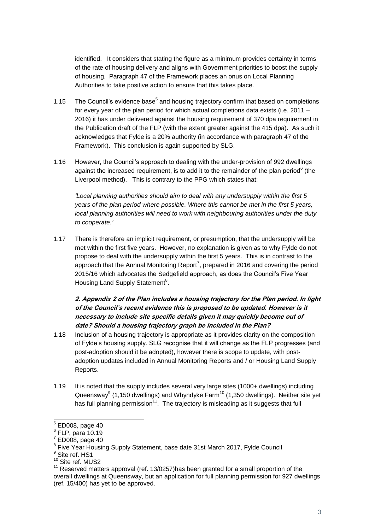identified. It considers that stating the figure as a minimum provides certainty in terms of the rate of housing delivery and aligns with Government priorities to boost the supply of housing. Paragraph 47 of the Framework places an onus on Local Planning Authorities to take positive action to ensure that this takes place.

- 1.15 The Council's evidence base<sup>5</sup> and housing trajectory confirm that based on completions for every year of the plan period for which actual completions data exists (i.e. 2011 – 2016) it has under delivered against the housing requirement of 370 dpa requirement in the Publication draft of the FLP (with the extent greater against the 415 dpa). As such it acknowledges that Fylde is a 20% authority (in accordance with paragraph 47 of the Framework). This conclusion is again supported by SLG.
- 1.16 However, the Council's approach to dealing with the under-provision of 992 dwellings against the increased requirement, is to add it to the remainder of the plan period<sup>6</sup> (the Liverpool method). This is contrary to the PPG which states that:

*'Local planning authorities should aim to deal with any undersupply within the first 5 years of the plan period where possible. Where this cannot be met in the first 5 years,*  local planning authorities will need to work with neighbouring authorities under the [duty](https://www.gov.uk/guidance/duty-to-cooperate) *to [cooperate.](https://www.gov.uk/guidance/duty-to-cooperate)'*

1.17 There is therefore an implicit requirement, or presumption, that the undersupply will be met within the first five years. However, no explanation is given as to why Fylde do not propose to deal with the undersupply within the first 5 years. This is in contrast to the approach that the Annual Monitoring Report<sup>7</sup>, prepared in 2016 and covering the period 2015/16 which advocates the Sedgefield approach, as does the Council's Five Year Housing Land Supply Statement<sup>8</sup>.

# **2. Appendix 2 of the Plan includes a housing trajectory for the Plan period. In light of the Council's recent evidence this is proposed to be updated. However is it necessary to include site specific details given it may quickly become out of date? Should a housing trajectory graph be included in the Plan?**

- 1.18 Inclusion of a housing trajectory is appropriate as it provides clarity on the composition of Fylde's housing supply. SLG recognise that it will change as the FLP progresses (and post-adoption should it be adopted), however there is scope to update, with postadoption updates included in Annual Monitoring Reports and / or Housing Land Supply Reports.
- 1.19 It is noted that the supply includes several very large sites (1000+ dwellings) including Queensway $^{9}$  (1,150 dwellings) and Whyndyke Farm<sup>10</sup> (1,350 dwellings). Neither site yet has full planning permission<sup>11</sup>. The trajectory is misleading as it suggests that full

1

 $<sup>5</sup>$  ED008, page 40</sup>

 $6$  FLP, para 10.19

 $7$  ED008, page 40

<sup>&</sup>lt;sup>8</sup> Five Year Housing Supply Statement, base date 31st March 2017, Fylde Council

<sup>&</sup>lt;sup>9</sup> Site ref. HS1

<sup>&</sup>lt;sup>10</sup> Site ref. MUS2

<sup>&</sup>lt;sup>11</sup> Reserved matters approval (ref. 13/0257)has been granted for a small proportion of the overall dwellings at Queensway, but an application for full planning permission for 927 dwellings (ref. 15/400) has yet to be approved.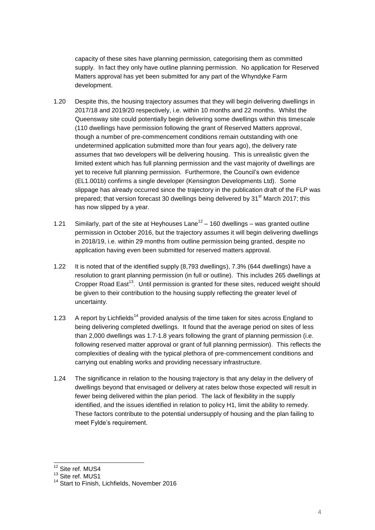capacity of these sites have planning permission, categorising them as committed supply. In fact they only have outline planning permission. No application for Reserved Matters approval has yet been submitted for any part of the Whyndyke Farm development.

- 1.20 Despite this, the housing trajectory assumes that they will begin delivering dwellings in 2017/18 and 2019/20 respectively, i.e. within 10 months and 22 months. Whilst the Queensway site could potentially begin delivering some dwellings within this timescale (110 dwellings have permission following the grant of Reserved Matters approval, though a number of pre-commencement conditions remain outstanding with one undetermined application submitted more than four years ago), the delivery rate assumes that two developers will be delivering housing. This is unrealistic given the limited extent which has full planning permission and the vast majority of dwellings are yet to receive full planning permission. Furthermore, the Council's own evidence (EL1.001b) confirms a single developer (Kensington Developments Ltd). Some slippage has already occurred since the trajectory in the publication draft of the FLP was prepared; that version forecast 30 dwellings being delivered by 31<sup>st</sup> March 2017; this has now slipped by a year.
- 1.21 Similarly, part of the site at Heyhouses Lane<sup>12</sup> 160 dwellings was granted outline permission in October 2016, but the trajectory assumes it will begin delivering dwellings in 2018/19, i.e. within 29 months from outline permission being granted, despite no application having even been submitted for reserved matters approval.
- 1.22 It is noted that of the identified supply (8,793 dwellings), 7.3% (644 dwellings) have a resolution to grant planning permission (in full or outline). This includes 265 dwellings at Cropper Road East<sup>13</sup>. Until permission is granted for these sites, reduced weight should be given to their contribution to the housing supply reflecting the greater level of uncertainty.
- 1.23 A report by Lichfields<sup>14</sup> provided analysis of the time taken for sites across England to being delivering completed dwellings. It found that the average period on sites of less than 2,000 dwellings was 1.7-1.8 years following the grant of planning permission (i.e. following reserved matter approval or grant of full planning permission). This reflects the complexities of dealing with the typical plethora of pre-commencement conditions and carrying out enabling works and providing necessary infrastructure.
- 1.24 The significance in relation to the housing trajectory is that any delay in the delivery of dwellings beyond that envisaged or delivery at rates below those expected will result in fewer being delivered within the plan period. The lack of flexibility in the supply identified, and the issues identified in relation to policy H1, limit the ability to remedy. These factors contribute to the potential undersupply of housing and the plan failing to meet Fylde's requirement.

1

<sup>&</sup>lt;sup>12</sup> Site ref. MUS4

<sup>&</sup>lt;sup>13</sup> Site ref. MUS1

<sup>&</sup>lt;sup>14</sup> Start to Finish, Lichfields, November 2016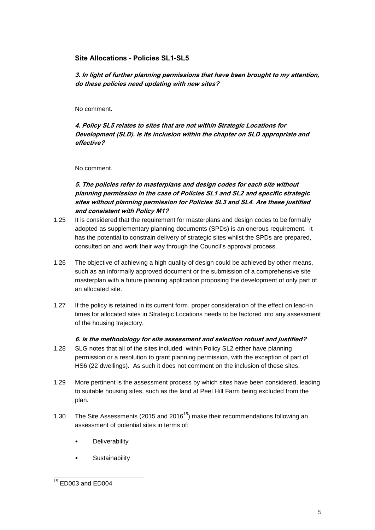#### **Site Allocations - Policies SL1-SL5**

**3. In light of further planning permissions that have been brought to my attention, do these policies need updating with new sites?** 

No comment.

**4. Policy SL5 relates to sites that are not within Strategic Locations for Development (SLD). Is its inclusion within the chapter on SLD appropriate and effective?** 

No comment.

# **5. The policies refer to masterplans and design codes for each site without planning permission in the case of Policies SL1 and SL2 and specific strategic sites without planning permission for Policies SL3 and SL4. Are these justified and consistent with Policy M1?**

- 1.25 It is considered that the requirement for masterplans and design codes to be formally adopted as supplementary planning documents (SPDs) is an onerous requirement. It has the potential to constrain delivery of strategic sites whilst the SPDs are prepared, consulted on and work their way through the Council's approval process.
- 1.26 The objective of achieving a high quality of design could be achieved by other means, such as an informally approved document or the submission of a comprehensive site masterplan with a future planning application proposing the development of only part of an allocated site.
- 1.27 If the policy is retained in its current form, proper consideration of the effect on lead-in times for allocated sites in Strategic Locations needs to be factored into any assessment of the housing trajectory.

#### **6. Is the methodology for site assessment and selection robust and justified?**

- 1.28 SLG notes that all of the sites included within Policy SL2 either have planning permission or a resolution to grant planning permission, with the exception of part of HS6 (22 dwellings). As such it does not comment on the inclusion of these sites.
- 1.29 More pertinent is the assessment process by which sites have been considered, leading to suitable housing sites, such as the land at Peel Hill Farm being excluded from the plan.
- 1.30 The Site Assessments (2015 and 2016<sup>15</sup>) make their recommendations following an assessment of potential sites in terms of:
	- **Deliverability**
	- **Sustainability**

<sup>-</sup><sup>15</sup> ED003 and ED004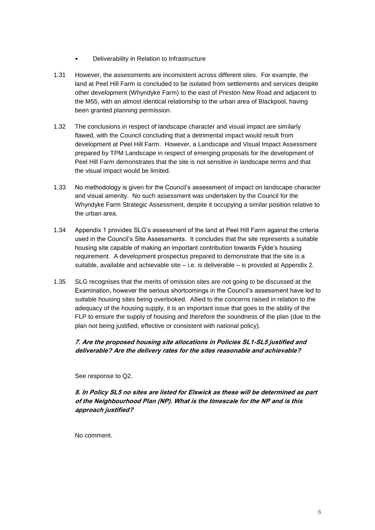- Deliverability in Relation to Infrastructure
- 1.31 However, the assessments are inconsistent across different sites. For example, the land at Peel Hill Farm is concluded to be isolated from settlements and services despite other development (Whyndyke Farm) to the east of Preston New Road and adjacent to the M55, with an almost identical relationship to the urban area of Blackpool, having been granted planning permission.
- 1.32 The conclusions in respect of landscape character and visual impact are similarly flawed, with the Council concluding that a detrimental impact would result from development at Peel Hill Farm. However, a Landscape and Visual Impact Assessment prepared by TPM Landscape in respect of emerging proposals for the development of Peel Hill Farm demonstrates that the site is not sensitive in landscape terms and that the visual impact would be limited.
- 1.33 No methodology is given for the Council's assessment of impact on landscape character and visual amenity. No such assessment was undertaken by the Council for the Whyndyke Farm Strategic Assessment, despite it occupying a similar position relative to the urban area.
- 1.34 Appendix 1 provides SLG's assessment of the land at Peel Hill Farm against the criteria used in the Council's Site Assessments. It concludes that the site represents a suitable housing site capable of making an important contribution towards Fylde's housing requirement. A development prospectus prepared to demonstrate that the site is a suitable, available and achievable site – i.e. is deliverable – is provided at Appendix 2.
- 1.35 SLG recognises that the merits of omission sites are not going to be discussed at the Examination, however the serious shortcomings in the Council's assessment have led to suitable housing sites being overlooked. Allied to the concerns raised in relation to the adequacy of the housing supply, it is an important issue that goes to the ability of the FLP to ensure the supply of housing and therefore the soundness of the plan (due to the plan not being justified, effective or consistent with national policy).

#### **7. Are the proposed housing site allocations in Policies SL1-SL5 justified and deliverable? Are the delivery rates for the sites reasonable and achievable?**

See response to Q2.

**8. In Policy SL5 no sites are listed for Elswick as these will be determined as part of the Neighbourhood Plan (NP). What is the timescale for the NP and is this approach justified?**

No comment.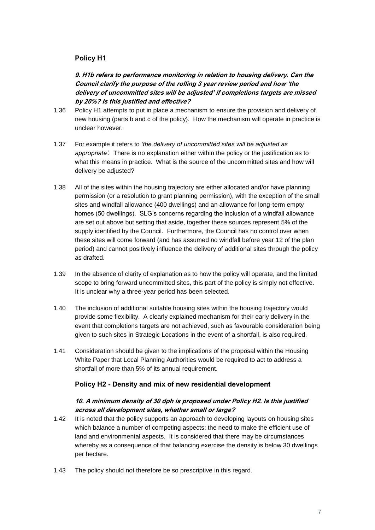# **Policy H1**

**9. H1b refers to performance monitoring in relation to housing delivery. Can the Council clarify the purpose of the rolling 3 year review period and how 'the delivery of uncommitted sites will be adjusted' if completions targets are missed by 20%? Is this justified and effective?**

- 1.36 Policy H1 attempts to put in place a mechanism to ensure the provision and delivery of new housing (parts b and c of the policy). How the mechanism will operate in practice is unclear however.
- 1.37 For example it refers to *'the delivery of uncommitted sites will be adjusted as appropriate'.* There is no explanation either within the policy or the justification as to what this means in practice. What is the source of the uncommitted sites and how will delivery be adjusted?
- 1.38 All of the sites within the housing trajectory are either allocated and/or have planning permission (or a resolution to grant planning permission), with the exception of the small sites and windfall allowance (400 dwellings) and an allowance for long-term empty homes (50 dwellings). SLG's concerns regarding the inclusion of a windfall allowance are set out above but setting that aside, together these sources represent 5% of the supply identified by the Council. Furthermore, the Council has no control over when these sites will come forward (and has assumed no windfall before year 12 of the plan period) and cannot positively influence the delivery of additional sites through the policy as drafted.
- 1.39 In the absence of clarity of explanation as to how the policy will operate, and the limited scope to bring forward uncommitted sites, this part of the policy is simply not effective. It is unclear why a three-year period has been selected.
- 1.40 The inclusion of additional suitable housing sites within the housing trajectory would provide some flexibility. A clearly explained mechanism for their early delivery in the event that completions targets are not achieved, such as favourable consideration being given to such sites in Strategic Locations in the event of a shortfall, is also required.
- 1.41 Consideration should be given to the implications of the proposal within the Housing White Paper that Local Planning Authorities would be required to act to address a shortfall of more than 5% of its annual requirement.

#### **Policy H2 - Density and mix of new residential development**

#### **10. A minimum density of 30 dph is proposed under Policy H2. Is this justified across all development sites, whether small or large?**

- 1.42 It is noted that the policy supports an approach to developing layouts on housing sites which balance a number of competing aspects; the need to make the efficient use of land and environmental aspects. It is considered that there may be circumstances whereby as a consequence of that balancing exercise the density is below 30 dwellings per hectare.
- 1.43 The policy should not therefore be so prescriptive in this regard.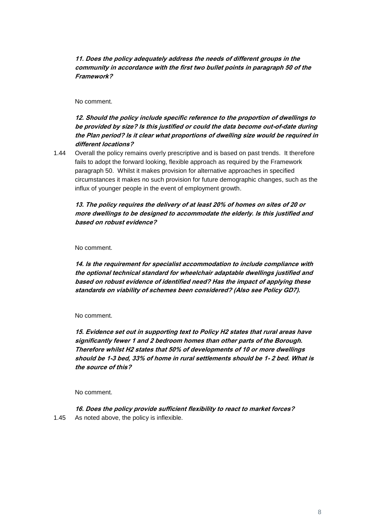**11. Does the policy adequately address the needs of different groups in the community in accordance with the first two bullet points in paragraph 50 of the Framework?** 

No comment.

**12. Should the policy include specific reference to the proportion of dwellings to be provided by size? Is this justified or could the data become out-of-date during the Plan period? Is it clear what proportions of dwelling size would be required in different locations?** 

1.44 Overall the policy remains overly prescriptive and is based on past trends. It therefore fails to adopt the forward looking, flexible approach as required by the Framework paragraph 50. Whilst it makes provision for alternative approaches in specified circumstances it makes no such provision for future demographic changes, such as the influx of younger people in the event of employment growth.

#### **13. The policy requires the delivery of at least 20% of homes on sites of 20 or more dwellings to be designed to accommodate the elderly. Is this justified and based on robust evidence?**

No comment.

**14. Is the requirement for specialist accommodation to include compliance with the optional technical standard for wheelchair adaptable dwellings justified and based on robust evidence of identified need? Has the impact of applying these standards on viability of schemes been considered? (Also see Policy GD7).**

No comment.

**15. Evidence set out in supporting text to Policy H2 states that rural areas have significantly fewer 1 and 2 bedroom homes than other parts of the Borough. Therefore whilst H2 states that 50% of developments of 10 or more dwellings should be 1-3 bed, 33% of home in rural settlements should be 1- 2 bed. What is the source of this?** 

No comment.

**16. Does the policy provide sufficient flexibility to react to market forces?** 1.45 As noted above, the policy is inflexible.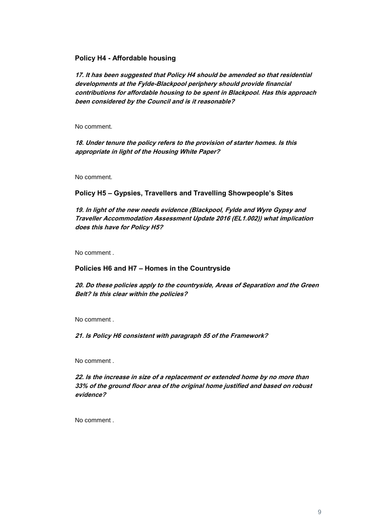#### **Policy H4 - Affordable housing**

**17. It has been suggested that Policy H4 should be amended so that residential developments at the Fylde-Blackpool periphery should provide financial contributions for affordable housing to be spent in Blackpool. Has this approach been considered by the Council and is it reasonable?** 

No comment.

**18. Under tenure the policy refers to the provision of starter homes. Is this appropriate in light of the Housing White Paper?** 

No comment.

#### **Policy H5 – Gypsies, Travellers and Travelling Showpeople's Sites**

**19. In light of the new needs evidence (Blackpool, Fylde and Wyre Gypsy and Traveller Accommodation Assessment Update 2016 (EL1.002)) what implication does this have for Policy H5?** 

No comment .

#### **Policies H6 and H7 – Homes in the Countryside**

**20. Do these policies apply to the countryside, Areas of Separation and the Green Belt? Is this clear within the policies?** 

No comment .

**21. Is Policy H6 consistent with paragraph 55 of the Framework?** 

No comment .

**22. Is the increase in size of a replacement or extended home by no more than 33% of the ground floor area of the original home justified and based on robust evidence?**

No comment .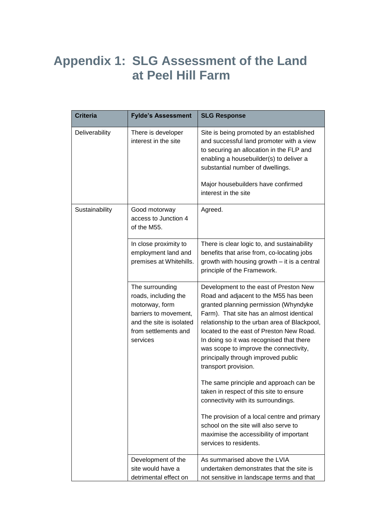# **Appendix 1: SLG Assessment of the Land at Peel Hill Farm**

| <b>Criteria</b> | <b>Fylde's Assessment</b>                                                                                                                          | <b>SLG Response</b>                                                                                                                                                                                                                                                                                                                                                                                                   |
|-----------------|----------------------------------------------------------------------------------------------------------------------------------------------------|-----------------------------------------------------------------------------------------------------------------------------------------------------------------------------------------------------------------------------------------------------------------------------------------------------------------------------------------------------------------------------------------------------------------------|
| Deliverability  | There is developer<br>interest in the site                                                                                                         | Site is being promoted by an established<br>and successful land promoter with a view<br>to securing an allocation in the FLP and<br>enabling a housebuilder(s) to deliver a<br>substantial number of dwellings.<br>Major housebuilders have confirmed<br>interest in the site                                                                                                                                         |
| Sustainability  | Good motorway<br>access to Junction 4<br>of the M55.                                                                                               | Agreed.                                                                                                                                                                                                                                                                                                                                                                                                               |
|                 | In close proximity to<br>employment land and<br>premises at Whitehills.                                                                            | There is clear logic to, and sustainability<br>benefits that arise from, co-locating jobs<br>growth with housing growth - it is a central<br>principle of the Framework.                                                                                                                                                                                                                                              |
|                 | The surrounding<br>roads, including the<br>motorway, form<br>barriers to movement,<br>and the site is isolated<br>from settlements and<br>services | Development to the east of Preston New<br>Road and adjacent to the M55 has been<br>granted planning permission (Whyndyke<br>Farm). That site has an almost identical<br>relationship to the urban area of Blackpool,<br>located to the east of Preston New Road.<br>In doing so it was recognised that there<br>was scope to improve the connectivity,<br>principally through improved public<br>transport provision. |
|                 |                                                                                                                                                    | The same principle and approach can be<br>taken in respect of this site to ensure<br>connectivity with its surroundings.                                                                                                                                                                                                                                                                                              |
|                 |                                                                                                                                                    | The provision of a local centre and primary<br>school on the site will also serve to<br>maximise the accessibility of important<br>services to residents.                                                                                                                                                                                                                                                             |
|                 | Development of the<br>site would have a<br>detrimental effect on                                                                                   | As summarised above the LVIA<br>undertaken demonstrates that the site is<br>not sensitive in landscape terms and that                                                                                                                                                                                                                                                                                                 |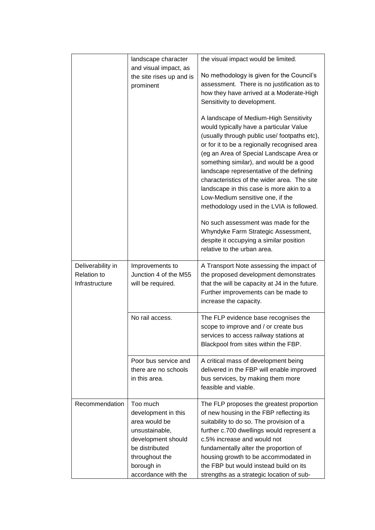|                                                           | landscape character<br>and visual impact, as<br>the site rises up and is<br>prominent                                                                             | the visual impact would be limited.<br>No methodology is given for the Council's<br>assessment. There is no justification as to<br>how they have arrived at a Moderate-High<br>Sensitivity to development.<br>A landscape of Medium-High Sensitivity<br>would typically have a particular Value<br>(usually through public use/ footpaths etc),<br>or for it to be a regionally recognised area<br>(eg an Area of Special Landscape Area or<br>something similar), and would be a good<br>landscape representative of the defining<br>characteristics of the wider area. The site<br>landscape in this case is more akin to a<br>Low-Medium sensitive one, if the<br>methodology used in the LVIA is followed.<br>No such assessment was made for the<br>Whyndyke Farm Strategic Assessment,<br>despite it occupying a similar position<br>relative to the urban area. |
|-----------------------------------------------------------|-------------------------------------------------------------------------------------------------------------------------------------------------------------------|------------------------------------------------------------------------------------------------------------------------------------------------------------------------------------------------------------------------------------------------------------------------------------------------------------------------------------------------------------------------------------------------------------------------------------------------------------------------------------------------------------------------------------------------------------------------------------------------------------------------------------------------------------------------------------------------------------------------------------------------------------------------------------------------------------------------------------------------------------------------|
| Deliverability in<br><b>Relation to</b><br>Infrastructure | Improvements to<br>Junction 4 of the M55<br>will be required.                                                                                                     | A Transport Note assessing the impact of<br>the proposed development demonstrates<br>that the will be capacity at J4 in the future.<br>Further improvements can be made to<br>increase the capacity.                                                                                                                                                                                                                                                                                                                                                                                                                                                                                                                                                                                                                                                                   |
|                                                           | No rail access.                                                                                                                                                   | The FLP evidence base recognises the<br>scope to improve and / or create bus<br>services to access railway stations at<br>Blackpool from sites within the FBP.                                                                                                                                                                                                                                                                                                                                                                                                                                                                                                                                                                                                                                                                                                         |
|                                                           | Poor bus service and<br>there are no schools<br>in this area.                                                                                                     | A critical mass of development being<br>delivered in the FBP will enable improved<br>bus services, by making them more<br>feasible and viable.                                                                                                                                                                                                                                                                                                                                                                                                                                                                                                                                                                                                                                                                                                                         |
| Recommendation                                            | Too much<br>development in this<br>area would be<br>unsustainable,<br>development should<br>be distributed<br>throughout the<br>borough in<br>accordance with the | The FLP proposes the greatest proportion<br>of new housing in the FBP reflecting its<br>suitability to do so. The provision of a<br>further c.700 dwellings would represent a<br>c.5% increase and would not<br>fundamentally alter the proportion of<br>housing growth to be accommodated in<br>the FBP but would instead build on its<br>strengths as a strategic location of sub-                                                                                                                                                                                                                                                                                                                                                                                                                                                                                   |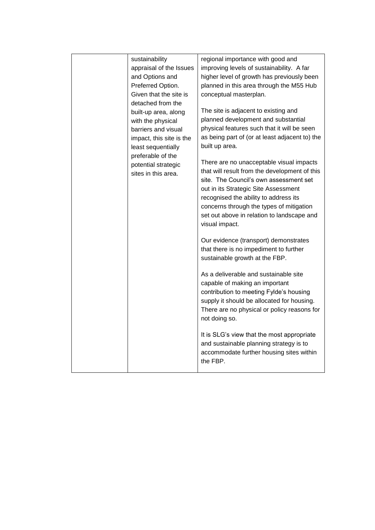| sustainability<br>appraisal of the Issues<br>and Options and<br>Preferred Option.<br>Given that the site is<br>detached from the        | regional importance with good and<br>improving levels of sustainability. A far<br>higher level of growth has previously been<br>planned in this area through the M55 Hub<br>conceptual masterplan.                                                                                                                               |
|-----------------------------------------------------------------------------------------------------------------------------------------|----------------------------------------------------------------------------------------------------------------------------------------------------------------------------------------------------------------------------------------------------------------------------------------------------------------------------------|
| built-up area, along<br>with the physical<br>barriers and visual<br>impact, this site is the<br>least sequentially<br>preferable of the | The site is adjacent to existing and<br>planned development and substantial<br>physical features such that it will be seen<br>as being part of (or at least adjacent to) the<br>built up area.                                                                                                                                   |
| potential strategic<br>sites in this area.                                                                                              | There are no unacceptable visual impacts<br>that will result from the development of this<br>site. The Council's own assessment set<br>out in its Strategic Site Assessment<br>recognised the ability to address its<br>concerns through the types of mitigation<br>set out above in relation to landscape and<br>visual impact. |
|                                                                                                                                         | Our evidence (transport) demonstrates<br>that there is no impediment to further<br>sustainable growth at the FBP.                                                                                                                                                                                                                |
|                                                                                                                                         | As a deliverable and sustainable site<br>capable of making an important<br>contribution to meeting Fylde's housing<br>supply it should be allocated for housing.<br>There are no physical or policy reasons for<br>not doing so.                                                                                                 |
|                                                                                                                                         | It is SLG's view that the most appropriate<br>and sustainable planning strategy is to<br>accommodate further housing sites within<br>the FBP.                                                                                                                                                                                    |
|                                                                                                                                         |                                                                                                                                                                                                                                                                                                                                  |